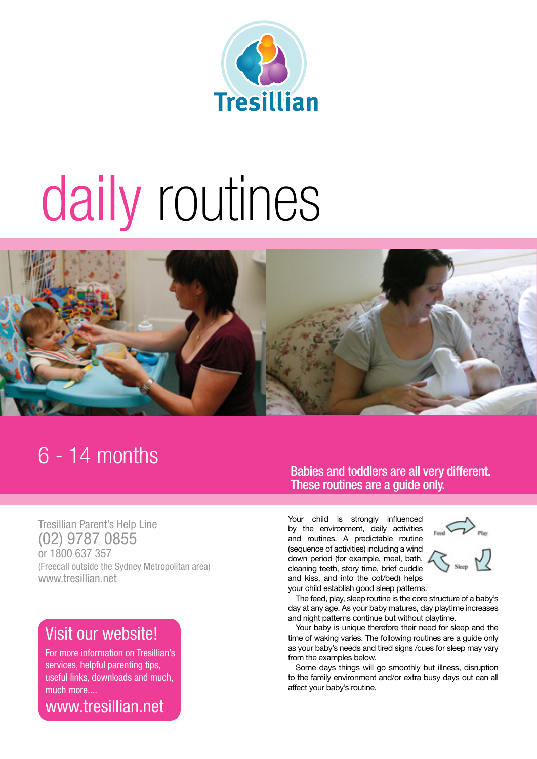

# daily routines



### 6 - 14 months

Tresillian Parent's Help Line (02) 9787 0855 or 1800 637 357 (Freecall outside the Sydney Metropolitan area) www.tresillian.net

### Visit our website!

For more information on Tresillian's services, helpful parenting tips, useful links, downloads and much, much more....

www.tresillian.net

### Babies and toddlers are all very different. These routines are a guide only.

Your child is strongly influenced by the environment, daily activities and routines. A predictable routine (sequence of activities) including a wind down period (for example, meal, bath, cleaning teeth, story time, brief cuddle and kiss, and into the cot/bed) helps your child establish good sleep patterns.



The feed, play, sleep routine is the core structure of a baby's day at any age. As your baby matures, day playtime increases and night patterns continue but without playtime.

Your baby is unique therefore their need for sleep and the time of waking varies. The following routines are a guide only as your baby's needs and tired signs /cues for sleep may vary from the examples below.

Some days things will go smoothly but illness, disruption to the family environment and/or extra busy days out can all affect your baby's routine.